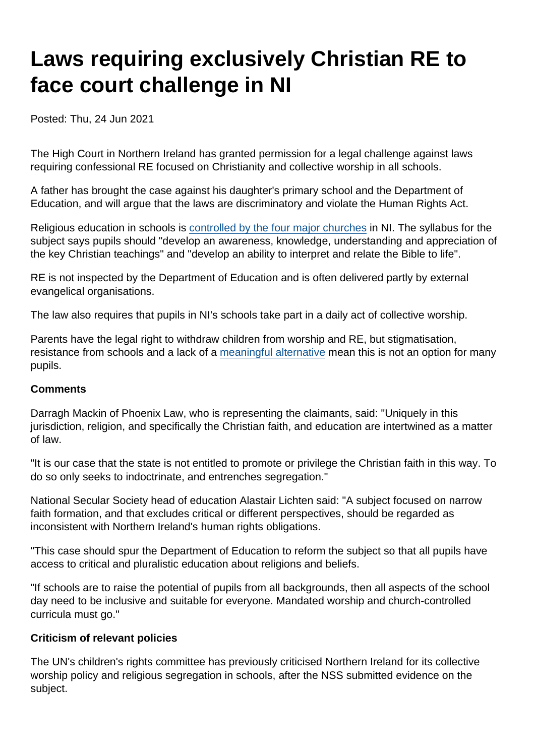# Laws requiring exclusively Christian RE to face court challenge in NI

Posted: Thu, 24 Jun 2021

The High Court in Northern Ireland has granted permission for a legal challenge against laws requiring confessional RE focused on Christianity and collective worship in all schools.

A father has brought the case against his daughter's primary school and the Department of Education, and will argue that the laws are discriminatory and violate the Human Rights Act.

Religious education in schools is [controlled by the four major churches](https://www.secularism.org.uk/opinion/2019/10/education-in-ni-shouldnt-be-a-tug-of-war-between-religious-interests) in NI. The syllabus for the subject says pupils should "develop an awareness, knowledge, understanding and appreciation of the key Christian teachings" and "develop an ability to interpret and relate the Bible to life".

RE is not inspected by the Department of Education and is often delivered partly by external evangelical organisations.

The law also requires that pupils in NI's schools take part in a daily act of collective worship.

Parents have the legal right to withdraw children from worship and RE, but stigmatisation, resistance from schools and a lack of a [meaningful alternative](https://www.secularism.org.uk/end-compulsory-worship/guide.html) mean this is not an option for many pupils.

#### **Comments**

Darragh Mackin of Phoenix Law, who is representing the claimants, said: "Uniquely in this jurisdiction, religion, and specifically the Christian faith, and education are intertwined as a matter of law.

"It is our case that the state is not entitled to promote or privilege the Christian faith in this way. To do so only seeks to indoctrinate, and entrenches segregation."

National Secular Society head of education Alastair Lichten said: "A subject focused on narrow faith formation, and that excludes critical or different perspectives, should be regarded as inconsistent with Northern Ireland's human rights obligations.

"This case should spur the Department of Education to reform the subject so that all pupils have access to critical and pluralistic education about religions and beliefs.

"If schools are to raise the potential of pupils from all backgrounds, then all aspects of the school day need to be inclusive and suitable for everyone. Mandated worship and church-controlled curricula must go."

#### Criticism of relevant policies

The UN's children's rights committee has previously criticised Northern Ireland for its collective worship policy and religious segregation in schools, after the NSS submitted evidence on the subject.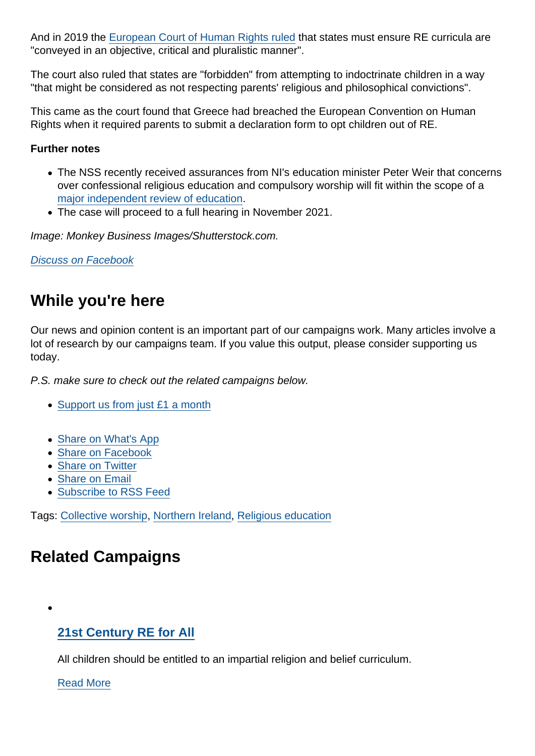And in 2019 the [European Court of Human Rights ruled](https://www.secularism.org.uk/news/2019/10/compulsory-re-mustnt-indoctrinate-says-european-court-of-human-rights) that states must ensure RE curricula are "conveyed in an objective, critical and pluralistic manner".

The court also ruled that states are "forbidden" from attempting to indoctrinate children in a way "that might be considered as not respecting parents' religious and philosophical convictions".

This came as the court found that Greece had breached the European Convention on Human Rights when it required parents to submit a declaration form to opt children out of RE.

Further notes

- The NSS recently received assurances from NI's education minister Peter Weir that concerns over confessional religious education and compulsory worship will fit within the scope of a [major independent review of education](https://www.secularism.org.uk/opinion/2021/02/nis-education-review-is-a-golden-chance-to-take-a-stand-for-inclusion).
- The case will proceed to a full hearing in November 2021.

Image: Monkey Business Images/Shutterstock.com.

[Discuss on Facebook](https://www.facebook.com/NationalSecularSociety/posts/4095922877142699?__cft__[0]=AZWKyDDcJ_lqkrDSDOeUekD0TRYNlMn1GWsLLj7k_9Kn-oXvpvBefLhdRY5zr4aVaxM7nQyDnDXANwDmsvWVuur8eGYPoK5pORs1NyGv34QuQIAMEyk1hEVzlwFrAEPnzc8mdIejjuwNjSGC9WizWx2ifr0_jbZ9bZNhmGGGpwJAA&__tn__=,O,P-R)

## While you're here

Our news and opinion content is an important part of our campaigns work. Many articles involve a lot of research by our campaigns team. If you value this output, please consider supporting us today.

P.S. make sure to check out the related campaigns below.

- [Support us from just £1 a month](https://www.secularism.org.uk/donate.html)
- [Share on What's App](whatsapp://send?text=http://www.secularism.org.uk/news/2021/06/laws-requiring-exclusively-christian-re-to-face-court-challenge-in-ni?format=pdf)
- [Share on Facebook](https://www.facebook.com/sharer/sharer.php?u=http://www.secularism.org.uk/news/2021/06/laws-requiring-exclusively-christian-re-to-face-court-challenge-in-ni?format=pdf&t=Laws+requiring+exclusively+Christian+RE+to+face+court+challenge+in+NI)
- [Share on Twitter](https://twitter.com/intent/tweet?url=http://www.secularism.org.uk/news/2021/06/laws-requiring-exclusively-christian-re-to-face-court-challenge-in-ni?format=pdf&text=Laws+requiring+exclusively+Christian+RE+to+face+court+challenge+in+NI&via=NatSecSoc)
- [Share on Email](https://www.secularism.org.uk/share.html?url=http://www.secularism.org.uk/news/2021/06/laws-requiring-exclusively-christian-re-to-face-court-challenge-in-ni?format=pdf&title=Laws+requiring+exclusively+Christian+RE+to+face+court+challenge+in+NI)
- [Subscribe to RSS Feed](/mnt/web-data/www/cp-nss/feeds/rss/news)

Tags: [Collective worship](https://www.secularism.org.uk/news/tags/Collective+worship), [Northern Ireland](https://www.secularism.org.uk/news/tags/Northern+Ireland), [Religious education](https://www.secularism.org.uk/news/tags/Religious+education)

# Related Campaigns

### [21st Century RE for All](https://www.secularism.org.uk/21st-century-re-for-all/)

All children should be entitled to an impartial religion and belief curriculum.

[Read More](https://www.secularism.org.uk/21st-century-re-for-all/)